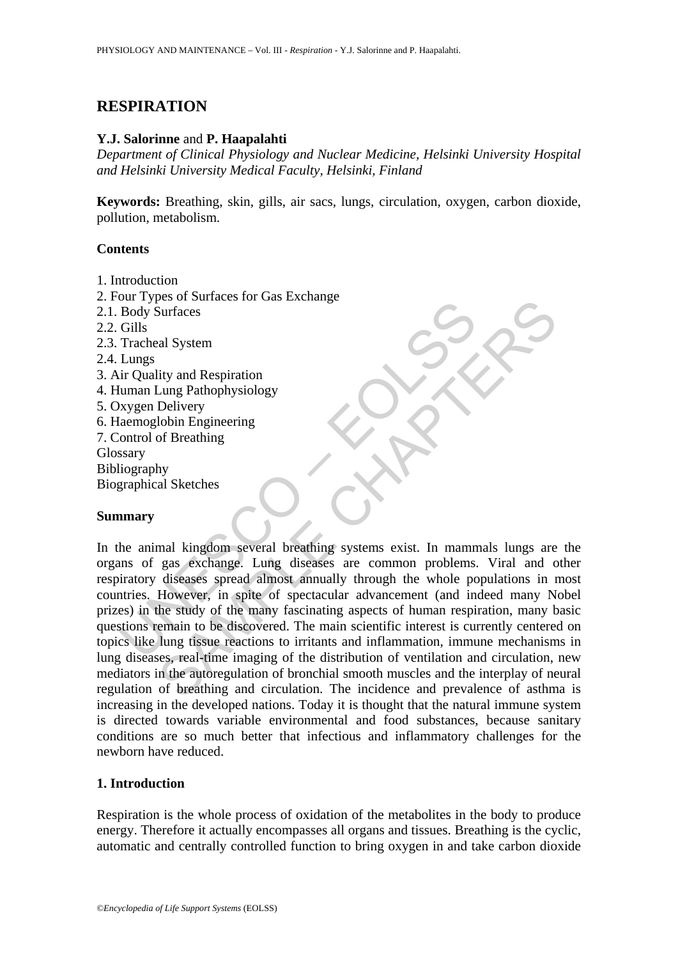# **RESPIRATION**

### **Y.J. Salorinne** and **P. Haapalahti**

*Department of Clinical Physiology and Nuclear Medicine, Helsinki University Hospital and Helsinki University Medical Faculty, Helsinki, Finland* 

**Keywords:** Breathing, skin, gills, air sacs, lungs, circulation, oxygen, carbon dioxide, pollution, metabolism.

### **Contents**

- 1. Introduction
- 2. Four Types of Surfaces for Gas Exchange
- 2.1. Body Surfaces
- 2.2. Gills
- 2.3. Tracheal System
- 2.4. Lungs
- 3. Air Quality and Respiration
- 4. Human Lung Pathophysiology
- 5. Oxygen Delivery
- 6. Haemoglobin Engineering
- 7. Control of Breathing
- **Glossary**
- Bibliography

Biographical Sketches

### **Summary**

Body Surfaces<br>
Body Surfaces<br>
Gills<br>
Tracheal System<br>
Lungs<br>
in Quality and Respiration<br>
Lungs<br>
in Quality and Respiration<br>
Lungs<br>
Marmolay and Respiration<br>
Marmolay Surfaces<br>
Marmolay Surgented Seeding<br>
Surgented Systems Surfaces<br>
Surfaces<br>
al System<br>
lity and Respiration<br>
Lung Pathophysiology<br>
Delivery<br>
of Breathing<br>
of Breathing<br>
of Breathing<br>
of Breathing<br>
of Breathing<br>
of Breathing<br>
of Breathing<br>
of Breathing<br>
of Breathing<br>
Ny<br>
Ny<br>
Ny<br> In the animal kingdom several breathing systems exist. In mammals lungs are the organs of gas exchange. Lung diseases are common problems. Viral and other respiratory diseases spread almost annually through the whole populations in most countries. However, in spite of spectacular advancement (and indeed many Nobel prizes) in the study of the many fascinating aspects of human respiration, many basic questions remain to be discovered. The main scientific interest is currently centered on topics like lung tissue reactions to irritants and inflammation, immune mechanisms in lung diseases, real-time imaging of the distribution of ventilation and circulation, new mediators in the autoregulation of bronchial smooth muscles and the interplay of neural regulation of breathing and circulation. The incidence and prevalence of asthma is increasing in the developed nations. Today it is thought that the natural immune system is directed towards variable environmental and food substances, because sanitary conditions are so much better that infectious and inflammatory challenges for the newborn have reduced.

### **1. Introduction**

Respiration is the whole process of oxidation of the metabolites in the body to produce energy. Therefore it actually encompasses all organs and tissues. Breathing is the cyclic, automatic and centrally controlled function to bring oxygen in and take carbon dioxide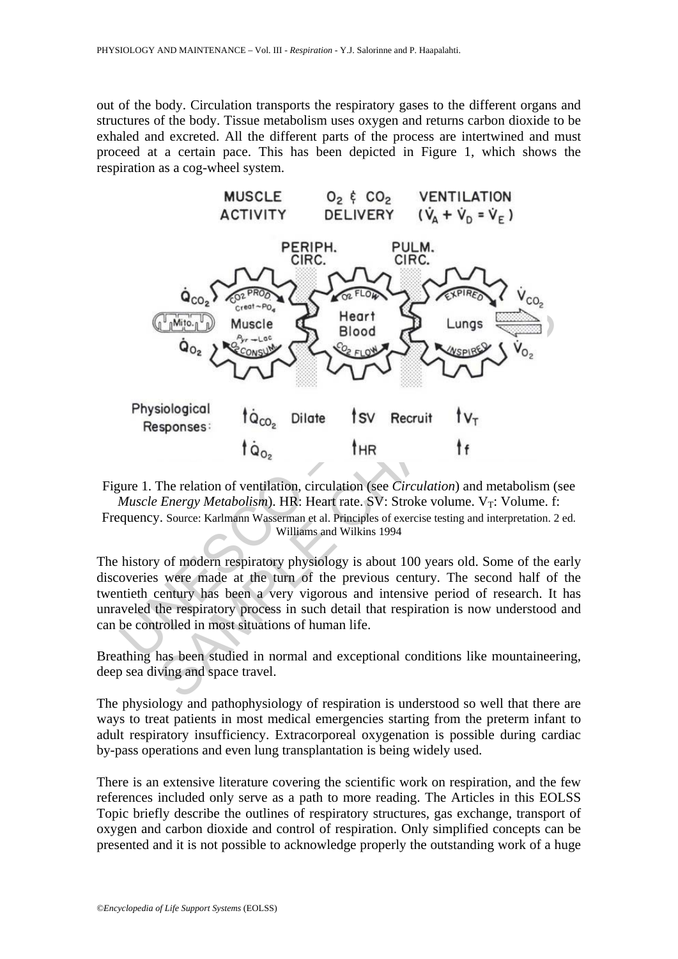out of the body. Circulation transports the respiratory gases to the different organs and structures of the body. Tissue metabolism uses oxygen and returns carbon dioxide to be exhaled and excreted. All the different parts of the process are intertwined and must proceed at a certain pace. This has been depicted in Figure 1, which shows the respiration as a cog-wheel system.



Figure 1. The relation of ventilation, circulation (see *Circulation*) and metabolism (see *Muscle Energy Metabolism*). HR: Heart rate. SV: Stroke volume. V<sub>T</sub>: Volume. f: Frequency. Source: Karlmann Wasserman et al. Principles of exercise testing and interpretation. 2 ed.

Williams and Wilkins 1994

The history of modern respiratory physiology is about 100 years old. Some of the early discoveries were made at the turn of the previous century. The second half of the twentieth century has been a very vigorous and intensive period of research. It has unraveled the respiratory process in such detail that respiration is now understood and can be controlled in most situations of human life.

Breathing has been studied in normal and exceptional conditions like mountaineering, deep sea diving and space travel.

The physiology and pathophysiology of respiration is understood so well that there are ways to treat patients in most medical emergencies starting from the preterm infant to adult respiratory insufficiency. Extracorporeal oxygenation is possible during cardiac by-pass operations and even lung transplantation is being widely used.

There is an extensive literature covering the scientific work on respiration, and the few references included only serve as a path to more reading. The Articles in this EOLSS Topic briefly describe the outlines of respiratory structures, gas exchange, transport of oxygen and carbon dioxide and control of respiration. Only simplified concepts can be presented and it is not possible to acknowledge properly the outstanding work of a huge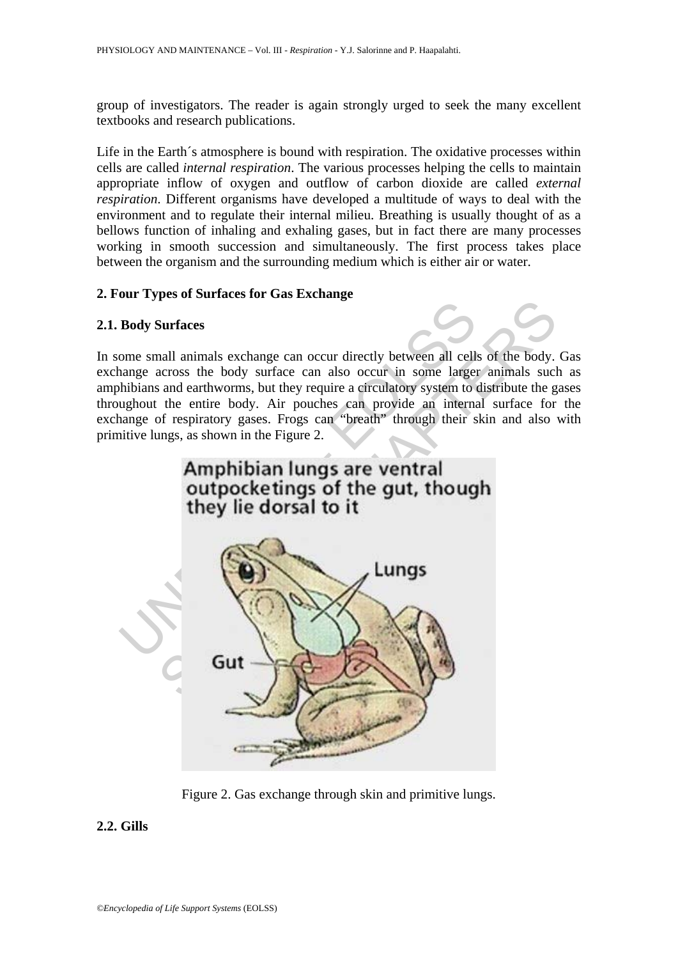group of investigators. The reader is again strongly urged to seek the many excellent textbooks and research publications.

Life in the Earth's atmosphere is bound with respiration. The oxidative processes within cells are called *internal respiration*. The various processes helping the cells to maintain appropriate inflow of oxygen and outflow of carbon dioxide are called *external respiration*. Different organisms have developed a multitude of ways to deal with the environment and to regulate their internal milieu. Breathing is usually thought of as a bellows function of inhaling and exhaling gases, but in fact there are many processes working in smooth succession and simultaneously. The first process takes place between the organism and the surrounding medium which is either air or water.

## **2. Four Types of Surfaces for Gas Exchange**

### **2.1. Body Surfaces**

In some small animals exchange can occur directly between all cells of the body. Gas exchange across the body surface can also occur in some larger animals such as amphibians and earthworms, but they require a circulatory system to distribute the gases throughout the entire body. Air pouches can provide an internal surface for the exchange of respiratory gases. Frogs can "breath" through their skin and also with primitive lungs, as shown in the Figure 2.



Figure 2. Gas exchange through skin and primitive lungs.

# **2.2. Gills**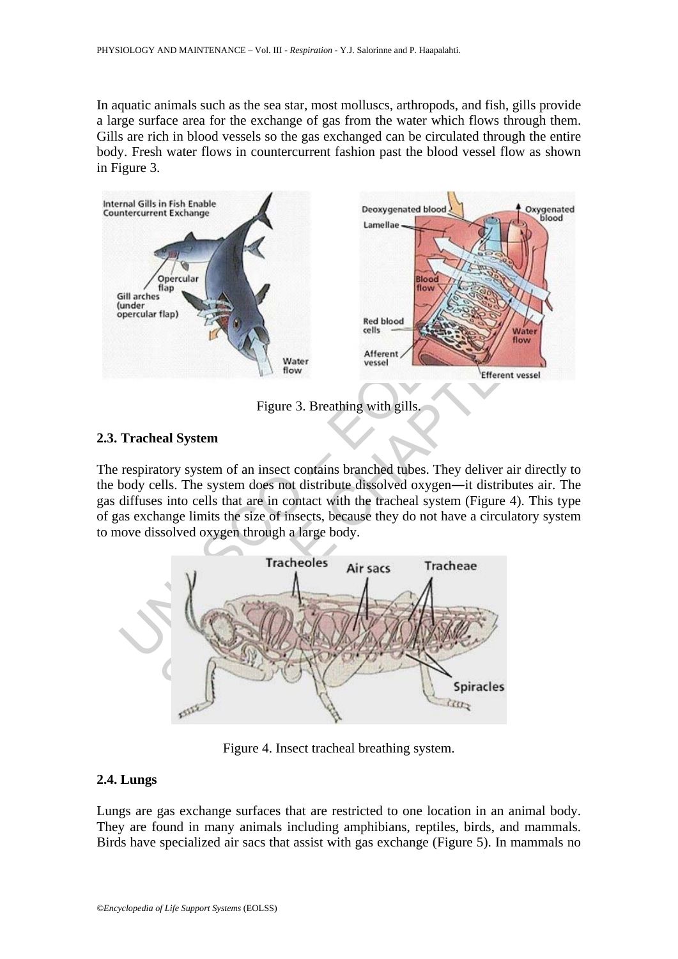In aquatic animals such as the sea star, most molluscs, arthropods, and fish, gills provide a large surface area for the exchange of gas from the water which flows through them. Gills are rich in blood vessels so the gas exchanged can be circulated through the entire body. Fresh water flows in countercurrent fashion past the blood vessel flow as shown in Figure 3.



Figure 3. Breathing with gills.

#### **2.3. Tracheal System**

The respiratory system of an insect contains branched tubes. They deliver air directly to the body cells. The system does not distribute dissolved oxygen―it distributes air. The gas diffuses into cells that are in contact with the tracheal system (Figure 4). This type of gas exchange limits the size of insects, because they do not have a circulatory system to move dissolved oxygen through a large body.



Figure 4. Insect tracheal breathing system.

#### **2.4. Lungs**

Lungs are gas exchange surfaces that are restricted to one location in an animal body. They are found in many animals including amphibians, reptiles, birds, and mammals. Birds have specialized air sacs that assist with gas exchange (Figure 5). In mammals no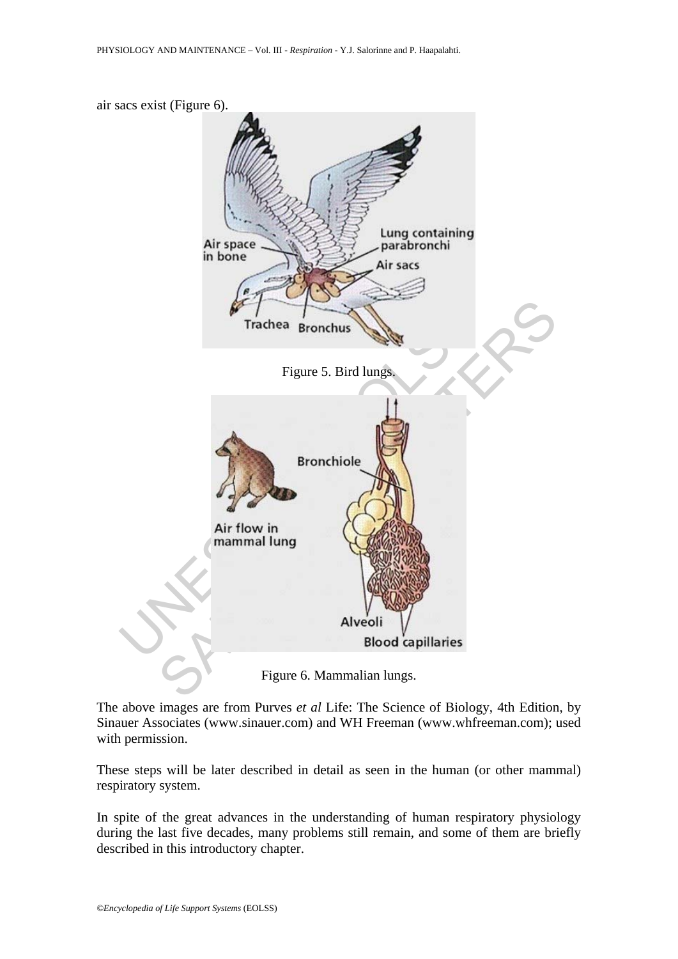

Figure 6. Mammalian lungs.

The above images are from Purves *et al* Life: The Science of Biology, 4th Edition, by Sinauer Associates (www.sinauer.com) and WH Freeman (www.whfreeman.com); used with permission.

These steps will be later described in detail as seen in the human (or other mammal) respiratory system.

In spite of the great advances in the understanding of human respiratory physiology during the last five decades, many problems still remain, and some of them are briefly described in this introductory chapter.